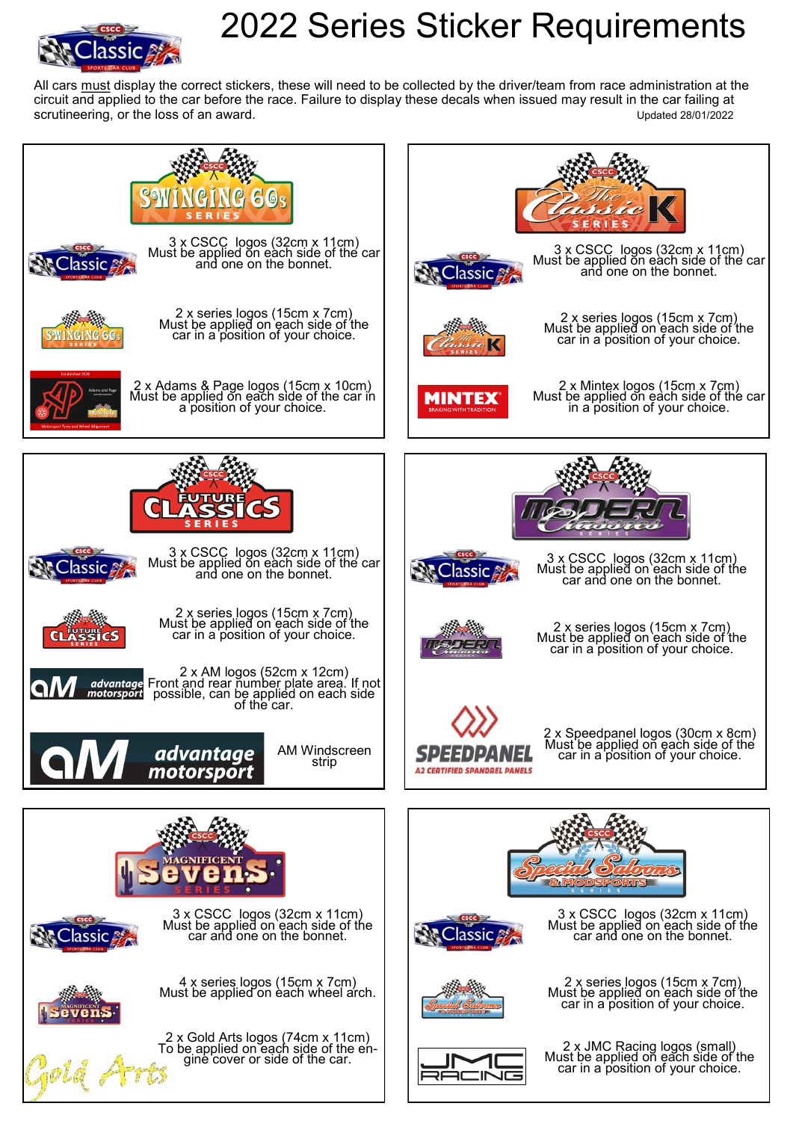

## 2022 Series Sticker Requirements

All cars must display the correct stickers, these will need to be collected by the driver/team from race administration at the circuit and applied to the car before the race. Failure to display these decals when issued may result in the car failing at scrutineering, or the loss of an award.